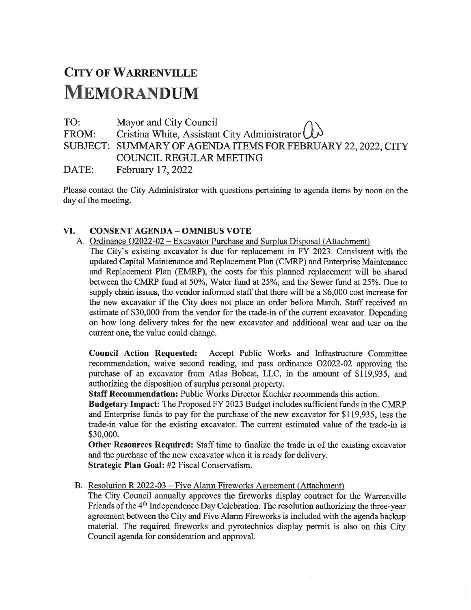## CITY OF WARRENVILLE **MEMORANDUM**

TO: Mayor and City Council  $\bigcap \setminus$ 

FROM: Cristina White, Assistant City Administrator  $\cup\!\mathcal{V}$ SUBJECT: SUMMARY OF AGENDA ITEMS FOR FEBRUARY 22, 2022, CITY COUNCIL REGULAR MEETING

DATE: February 17, 2022

Please contact the City Administrator with questions pertaining to agenda items by noon on the day of the meeting.

## VI. CONSENT AGENDA- OMNIBUS VOTE

A. Ordinance 02022-02 - Excavator Purchase and Surplus Disposal (Attachment) The City's existing excavator is due for replacement in FY 2023. Consistent with the updated Capital Maintenance and Replacement Plan (CMRP) and Enterprise Maintenance and Replacement Plan (EMRP), the costs for this planned replacement will be shared between the CMRP fund at 50%, Water fund at 25%, and the Sewer fund at 25%. Due to supply chain issues, the vendor informed staff that there will be a \$6,000 cost increase for the new excavator if the City does not place an order before March. Staff received an estimate of \$30,000 from the vendor for the trade-in of the current excavator. Depending on how long delivery takes for the new excavator and additional wear and tear on the current one, the value could change.

Council Action Requested: Accept Public Works and Infrastructure Committee recommendation, waive second reading, and pass ordinance 02022-02 approving the purchase of an excavator from Atlas Bobcat, LLC, in the amount of \$119,935, and authorizing the disposition of surplus personal property.

Staff Recommendation: Public Works Director Kuchler recommends this action.

Budgetary Impact: The Proposed FY 2023 Budget includes sufficient funds in the CMRP and Enterprise funds to pay for the purchase of the new excavator for \$119,935, less the trade-in value for the existing excavator. The current estimated value of the trade-in is \$30,000.

Other Resources Required: Staff time to finalize the trade in of the existing excavator and the purchase of the new excavator when it is ready for delivery.

Strategic Plan Goal: #2 Fiscal Conservatism.

B. Resolution R 2022-03 - Five Alarm Fireworks Agreement (Attachment)

The City Council annually approves the fireworks display contract for the Warrenville Friends of the 4<sup>th</sup> Independence Day Celebration. The resolution authorizing the three-year agreement between the City and Five Alarm Fireworks is included with the agenda backup material. The required fireworks and pyrotechnics display permit is also on this City Council agenda for consideration and approval.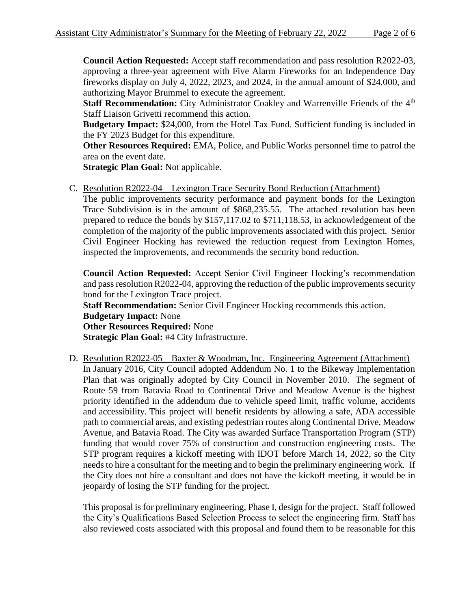**Council Action Requested:** Accept staff recommendation and pass resolution R2022-03, approving a three-year agreement with Five Alarm Fireworks for an Independence Day fireworks display on July 4, 2022, 2023, and 2024, in the annual amount of \$24,000, and authorizing Mayor Brummel to execute the agreement.

**Staff Recommendation:** City Administrator Coakley and Warrenville Friends of the 4<sup>th</sup> Staff Liaison Grivetti recommend this action.

**Budgetary Impact:** \$24,000, from the Hotel Tax Fund. Sufficient funding is included in the FY 2023 Budget for this expenditure.

**Other Resources Required:** EMA, Police, and Public Works personnel time to patrol the area on the event date.

**Strategic Plan Goal:** Not applicable.

C. Resolution R2022-04 – Lexington Trace Security Bond Reduction (Attachment)

The public improvements security performance and payment bonds for the Lexington Trace Subdivision is in the amount of \$868,235.55. The attached resolution has been prepared to reduce the bonds by \$157,117.02 to \$711,118.53, in acknowledgement of the completion of the majority of the public improvements associated with this project. Senior Civil Engineer Hocking has reviewed the reduction request from Lexington Homes, inspected the improvements, and recommends the security bond reduction.

**Council Action Requested:** Accept Senior Civil Engineer Hocking's recommendation and pass resolution R2022-04, approving the reduction of the public improvements security bond for the Lexington Trace project.

**Staff Recommendation:** Senior Civil Engineer Hocking recommends this action. **Budgetary Impact:** None **Other Resources Required:** None **Strategic Plan Goal:** #4 City Infrastructure.

D. Resolution R2022-05 – Baxter & Woodman, Inc. Engineering Agreement (Attachment) In January 2016, City Council adopted Addendum No. 1 to the Bikeway Implementation Plan that was originally adopted by City Council in November 2010. The segment of Route 59 from Batavia Road to Continental Drive and Meadow Avenue is the highest priority identified in the addendum due to vehicle speed limit, traffic volume, accidents and accessibility. This project will benefit residents by allowing a safe, ADA accessible path to commercial areas, and existing pedestrian routes along Continental Drive, Meadow Avenue, and Batavia Road. The City was awarded Surface Transportation Program (STP) funding that would cover 75% of construction and construction engineering costs. The STP program requires a kickoff meeting with IDOT before March 14, 2022, so the City needs to hire a consultant for the meeting and to begin the preliminary engineering work. If the City does not hire a consultant and does not have the kickoff meeting, it would be in jeopardy of losing the STP funding for the project.

This proposal is for preliminary engineering, Phase I, design for the project. Staff followed the City's Qualifications Based Selection Process to select the engineering firm. Staff has also reviewed costs associated with this proposal and found them to be reasonable for this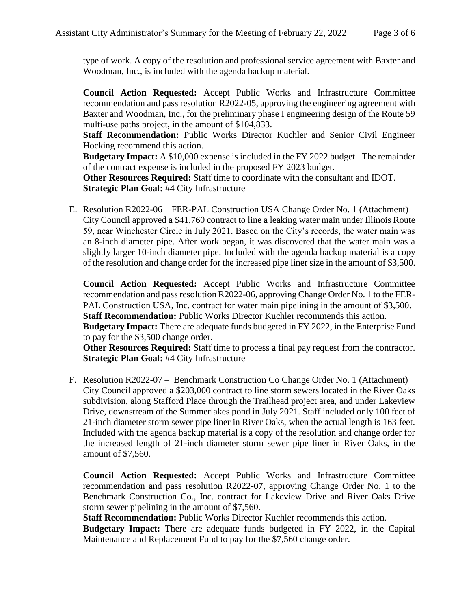type of work. A copy of the resolution and professional service agreement with Baxter and Woodman, Inc., is included with the agenda backup material.

**Council Action Requested:** Accept Public Works and Infrastructure Committee recommendation and pass resolution R2022-05, approving the engineering agreement with Baxter and Woodman, Inc., for the preliminary phase I engineering design of the Route 59 multi-use paths project, in the amount of \$104,833.

**Staff Recommendation:** Public Works Director Kuchler and Senior Civil Engineer Hocking recommend this action.

**Budgetary Impact:** A \$10,000 expense is included in the FY 2022 budget. The remainder of the contract expense is included in the proposed FY 2023 budget.

**Other Resources Required:** Staff time to coordinate with the consultant and IDOT. **Strategic Plan Goal:** #4 City Infrastructure

E. Resolution R2022-06 – FER-PAL Construction USA Change Order No. 1 (Attachment) City Council approved a \$41,760 contract to line a leaking water main under Illinois Route 59, near Winchester Circle in July 2021. Based on the City's records, the water main was an 8-inch diameter pipe. After work began, it was discovered that the water main was a slightly larger 10-inch diameter pipe. Included with the agenda backup material is a copy of the resolution and change order for the increased pipe liner size in the amount of \$3,500.

**Council Action Requested:** Accept Public Works and Infrastructure Committee recommendation and pass resolution R2022-06, approving Change Order No. 1 to the FER-PAL Construction USA, Inc. contract for water main pipelining in the amount of \$3,500. **Staff Recommendation:** Public Works Director Kuchler recommends this action. **Budgetary Impact:** There are adequate funds budgeted in FY 2022, in the Enterprise Fund to pay for the \$3,500 change order.

**Other Resources Required:** Staff time to process a final pay request from the contractor. **Strategic Plan Goal:** #4 City Infrastructure

F. Resolution R2022-07 – Benchmark Construction Co Change Order No. 1 (Attachment) City Council approved a \$203,000 contract to line storm sewers located in the River Oaks subdivision, along Stafford Place through the Trailhead project area, and under Lakeview Drive, downstream of the Summerlakes pond in July 2021. Staff included only 100 feet of 21-inch diameter storm sewer pipe liner in River Oaks, when the actual length is 163 feet. Included with the agenda backup material is a copy of the resolution and change order for the increased length of 21-inch diameter storm sewer pipe liner in River Oaks, in the amount of \$7,560.

**Council Action Requested:** Accept Public Works and Infrastructure Committee recommendation and pass resolution R2022-07, approving Change Order No. 1 to the Benchmark Construction Co., Inc. contract for Lakeview Drive and River Oaks Drive storm sewer pipelining in the amount of \$7,560.

**Staff Recommendation:** Public Works Director Kuchler recommends this action.

**Budgetary Impact:** There are adequate funds budgeted in FY 2022, in the Capital Maintenance and Replacement Fund to pay for the \$7,560 change order.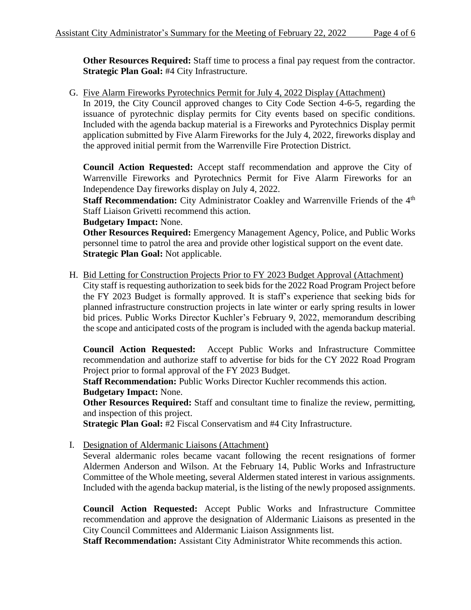**Other Resources Required:** Staff time to process a final pay request from the contractor. **Strategic Plan Goal:** #4 City Infrastructure.

G. Five Alarm Fireworks Pyrotechnics Permit for July 4, 2022 Display (Attachment) In 2019, the City Council approved changes to City Code Section 4-6-5, regarding the issuance of pyrotechnic display permits for City events based on specific conditions. Included with the agenda backup material is a Fireworks and Pyrotechnics Display permit application submitted by Five Alarm Fireworks for the July 4, 2022, fireworks display and the approved initial permit from the Warrenville Fire Protection District.

**Council Action Requested:** Accept staff recommendation and approve the City of Warrenville Fireworks and Pyrotechnics Permit for Five Alarm Fireworks for an Independence Day fireworks display on July 4, 2022.

**Staff Recommendation:** City Administrator Coakley and Warrenville Friends of the 4<sup>th</sup> Staff Liaison Grivetti recommend this action.

**Budgetary Impact:** None.

**Other Resources Required:** Emergency Management Agency, Police, and Public Works personnel time to patrol the area and provide other logistical support on the event date. **Strategic Plan Goal:** Not applicable.

H. Bid Letting for Construction Projects Prior to FY 2023 Budget Approval (Attachment) City staff is requesting authorization to seek bids for the 2022 Road Program Project before the FY 2023 Budget is formally approved. It is staff's experience that seeking bids for planned infrastructure construction projects in late winter or early spring results in lower bid prices. Public Works Director Kuchler's February 9, 2022, memorandum describing the scope and anticipated costs of the program is included with the agenda backup material.

**Council Action Requested:** Accept Public Works and Infrastructure Committee recommendation and authorize staff to advertise for bids for the CY 2022 Road Program Project prior to formal approval of the FY 2023 Budget.

**Staff Recommendation:** Public Works Director Kuchler recommends this action. **Budgetary Impact:** None.

**Other Resources Required:** Staff and consultant time to finalize the review, permitting, and inspection of this project.

**Strategic Plan Goal:** #2 Fiscal Conservatism and #4 City Infrastructure.

I. Designation of Aldermanic Liaisons (Attachment)

Several aldermanic roles became vacant following the recent resignations of former Aldermen Anderson and Wilson. At the February 14, Public Works and Infrastructure Committee of the Whole meeting, several Aldermen stated interest in various assignments. Included with the agenda backup material, is the listing of the newly proposed assignments.

**Council Action Requested:** Accept Public Works and Infrastructure Committee recommendation and approve the designation of Aldermanic Liaisons as presented in the City Council Committees and Aldermanic Liaison Assignments list.

**Staff Recommendation:** Assistant City Administrator White recommends this action.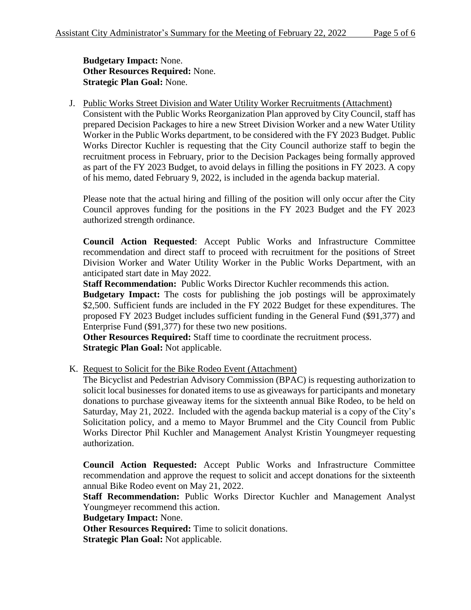**Budgetary Impact:** None. **Other Resources Required:** None. **Strategic Plan Goal:** None.

J. Public Works Street Division and Water Utility Worker Recruitments (Attachment) Consistent with the Public Works Reorganization Plan approved by City Council, staff has prepared Decision Packages to hire a new Street Division Worker and a new Water Utility Worker in the Public Works department, to be considered with the FY 2023 Budget. Public Works Director Kuchler is requesting that the City Council authorize staff to begin the recruitment process in February, prior to the Decision Packages being formally approved as part of the FY 2023 Budget, to avoid delays in filling the positions in FY 2023. A copy of his memo, dated February 9, 2022, is included in the agenda backup material.

Please note that the actual hiring and filling of the position will only occur after the City Council approves funding for the positions in the FY 2023 Budget and the FY 2023 authorized strength ordinance.

**Council Action Requested**: Accept Public Works and Infrastructure Committee recommendation and direct staff to proceed with recruitment for the positions of Street Division Worker and Water Utility Worker in the Public Works Department, with an anticipated start date in May 2022.

**Staff Recommendation:** Public Works Director Kuchler recommends this action.

**Budgetary Impact:** The costs for publishing the job postings will be approximately \$2,500. Sufficient funds are included in the FY 2022 Budget for these expenditures. The proposed FY 2023 Budget includes sufficient funding in the General Fund (\$91,377) and Enterprise Fund (\$91,377) for these two new positions.

**Other Resources Required:** Staff time to coordinate the recruitment process. **Strategic Plan Goal:** Not applicable.

K. Request to Solicit for the Bike Rodeo Event (Attachment)

The Bicyclist and Pedestrian Advisory Commission (BPAC) is requesting authorization to solicit local businesses for donated items to use as giveaways for participants and monetary donations to purchase giveaway items for the sixteenth annual Bike Rodeo, to be held on Saturday, May 21, 2022. Included with the agenda backup material is a copy of the City's Solicitation policy, and a memo to Mayor Brummel and the City Council from Public Works Director Phil Kuchler and Management Analyst Kristin Youngmeyer requesting authorization.

**Council Action Requested:** Accept Public Works and Infrastructure Committee recommendation and approve the request to solicit and accept donations for the sixteenth annual Bike Rodeo event on May 21, 2022.

Staff Recommendation: Public Works Director Kuchler and Management Analyst Youngmeyer recommend this action.

**Budgetary Impact:** None.

**Other Resources Required:** Time to solicit donations.

**Strategic Plan Goal:** Not applicable.